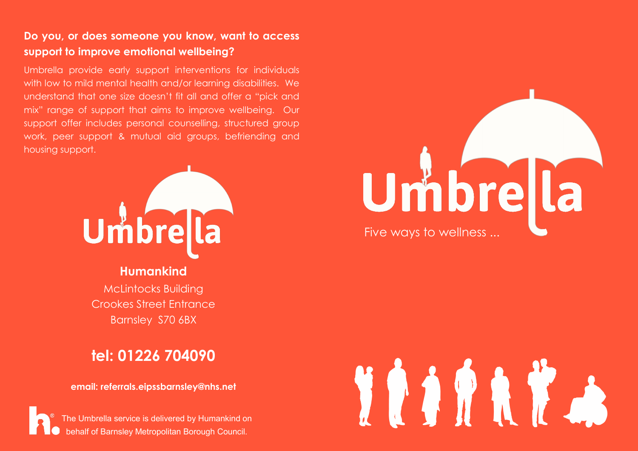## **Do you, or does someone you know, want to access support to improve emotional wellbeing?**

Umbrella provide early support interventions for individuals with low to mild mental health and/or learning disabilities. We understand that one size doesn't fit all and offer a "pick and mix" range of support that aims to improve wellbeing. Our support offer includes personal counselling, structured group work, peer support & mutual aid groups, befriending and housing support.



**Humankind** McLintocks Building Crookes Street Entrance

Barnsley S70 6BX

## **tel: 01226 704090**

**email: referrals.eipssbarnsley@nhs.net**